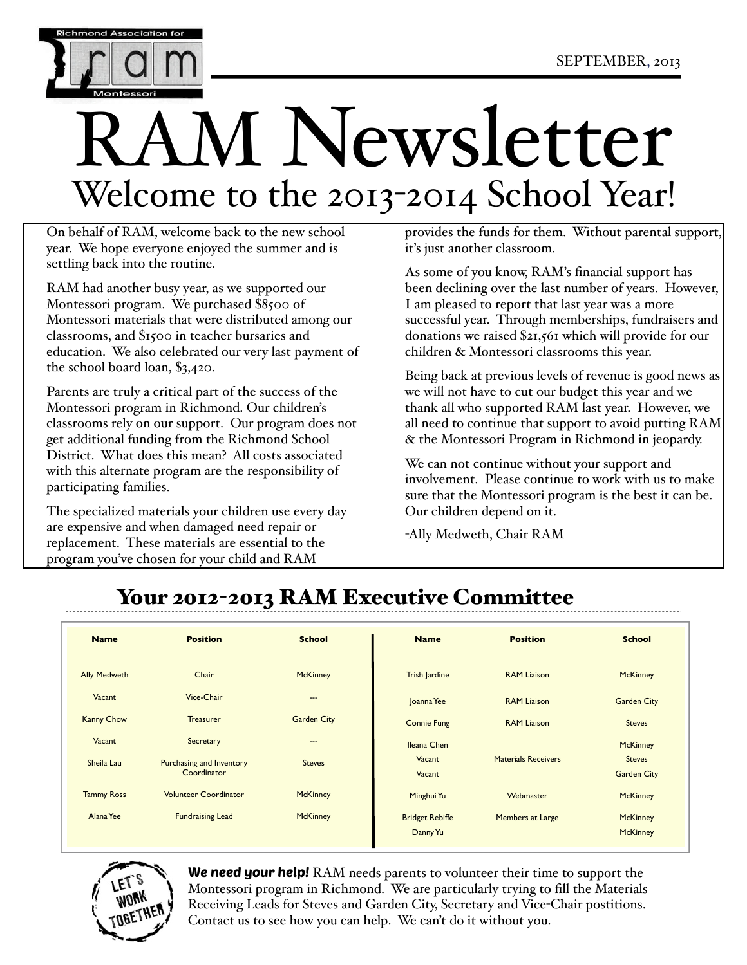

# M Newsletter Welcome to the 2013-2014 School Year!

On behalf of RAM, welcome back to the new school year. We hope everyone enjoyed the summer and is settling back into the routine.

RAM had another busy year, as we supported our Montessori program. We purchased \$8500 of Montessori materials that were distributed among our classrooms, and \$1500 in teacher bursaries and education. We also celebrated our very last payment of the school board loan, \$3,420.

Parents are truly a critical part of the success of the Montessori program in Richmond. Our children's classrooms rely on our support. Our program does not get additional funding from the Richmond School District. What does this mean? All costs associated with this alternate program are the responsibility of participating families.

The specialized materials your children use every day are expensive and when damaged need repair or replacement. These materials are essential to the program you've chosen for your child and RAM

provides the funds for them. Without parental support, it's just another classroom.

As some of you know, RAM's financial support has been declining over the last number of years. However, I am pleased to report that last year was a more successful year. Through memberships, fundraisers and donations we raised \$21,561 which will provide for our children & Montessori classrooms this year.

Being back at previous levels of revenue is good news as we will not have to cut our budget this year and we thank all who supported RAM last year. However, we all need to continue that support to avoid putting RAM & the Montessori Program in Richmond in jeopardy.

We can not continue without your support and involvement. Please continue to work with us to make sure that the Montessori program is the best it can be. Our children depend on it.

-Ally Medweth, Chair RAM

## Your 2012-2013 RAM Executive Committee

| <b>Name</b>         | <b>Position</b>                                | <b>School</b>      | <b>Name</b>                        | <b>Position</b>            | <b>School</b>                       |
|---------------------|------------------------------------------------|--------------------|------------------------------------|----------------------------|-------------------------------------|
| <b>Ally Medweth</b> | Chair                                          | <b>McKinney</b>    | <b>Trish Jardine</b>               | <b>RAM Liaison</b>         | <b>McKinney</b>                     |
| Vacant              | Vice-Chair                                     | ---                | Joanna Yee                         | <b>RAM Liaison</b>         | <b>Garden City</b>                  |
| <b>Kanny Chow</b>   | <b>Treasurer</b>                               | <b>Garden City</b> | <b>Connie Fung</b>                 | <b>RAM Liaison</b>         | <b>Steves</b>                       |
| Vacant              | Secretary                                      | $\cdots$           | Ileana Chen                        |                            | <b>McKinney</b>                     |
| Sheila Lau          | <b>Purchasing and Inventory</b><br>Coordinator | <b>Steves</b>      | Vacant<br>Vacant                   | <b>Materials Receivers</b> | <b>Steves</b><br><b>Garden City</b> |
| <b>Tammy Ross</b>   | <b>Volunteer Coordinator</b>                   | <b>McKinney</b>    | Minghui Yu                         | Webmaster                  | <b>McKinney</b>                     |
| Alana Yee           | <b>Fundraising Lead</b>                        | <b>McKinney</b>    | <b>Bridget Rebiffe</b><br>Danny Yu | Members at Large           | <b>McKinney</b><br><b>McKinney</b>  |



We need your help! RAM needs parents to volunteer their time to support the Montessori program in Richmond. We are particularly trying to fill the Materials Receiving Leads for Steves and Garden City, Secretary and Vice-Chair postitions. Contact us to see how you can help. We can't do it without you.